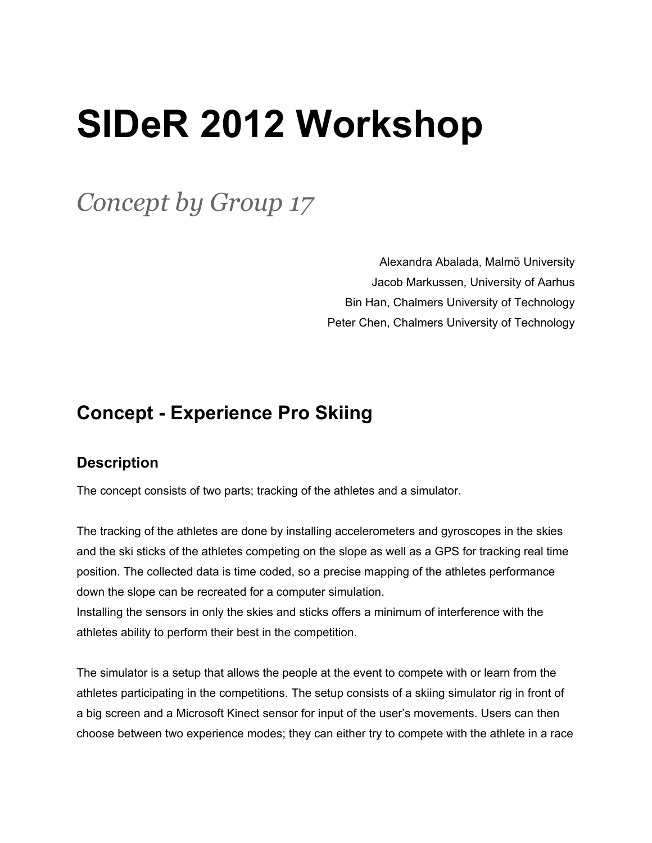## **SIDeR 2012 Workshop**

*Concept by Group 17*

Alexandra Abalada, Malmö University Jacob Markussen, University of Aarhus Bin Han, Chalmers University of Technology Peter Chen, Chalmers University of Technology

## **Concept - Experience Pro Skiing**

## **Description**

The concept consists of two parts; tracking of the athletes and a simulator.

The tracking of the athletes are done by installing accelerometers and gyroscopes in the skies and the ski sticks of the athletes competing on the slope as well as a GPS for tracking real time position. The collected data is time coded, so a precise mapping of the athletes performance down the slope can be recreated for a computer simulation.

Installing the sensors in only the skies and sticks offers a minimum of interference with the athletes ability to perform their best in the competition.

The simulator is a setup that allows the people at the event to compete with or learn from the athletes participating in the competitions. The setup consists of a skiing simulator rig in front of a big screen and a Microsoft Kinect sensor for input of the user's movements. Users can then choose between two experience modes; they can either try to compete with the athlete in a race